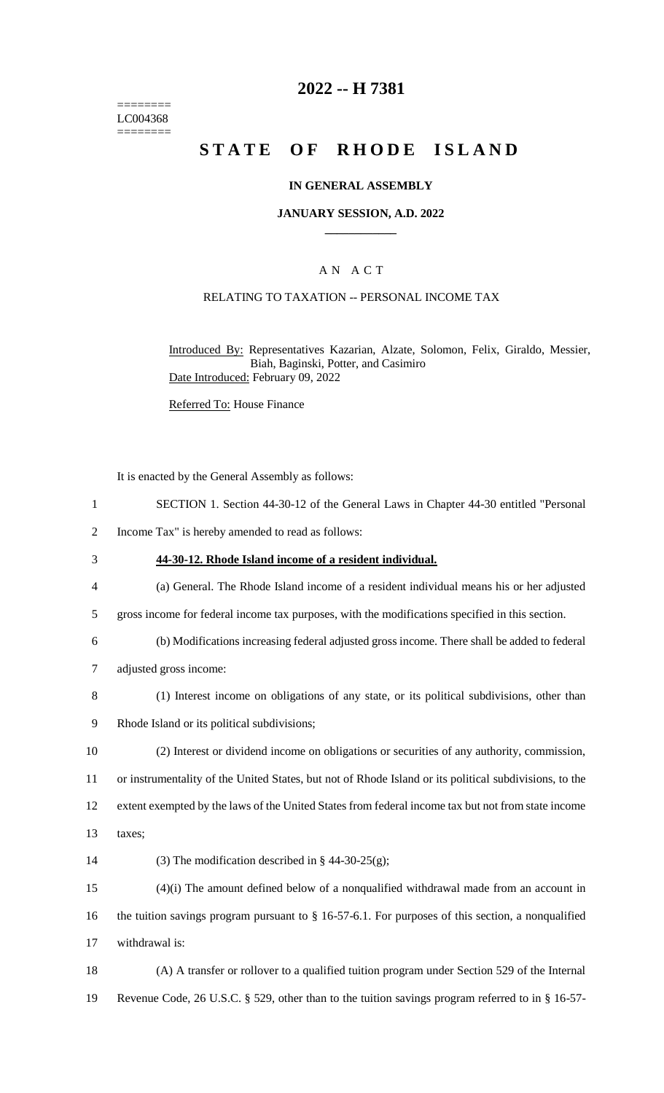======== LC004368 ========

## **2022 -- H 7381**

# **STATE OF RHODE ISLAND**

#### **IN GENERAL ASSEMBLY**

#### **JANUARY SESSION, A.D. 2022 \_\_\_\_\_\_\_\_\_\_\_\_**

### A N A C T

#### RELATING TO TAXATION -- PERSONAL INCOME TAX

Introduced By: Representatives Kazarian, Alzate, Solomon, Felix, Giraldo, Messier, Biah, Baginski, Potter, and Casimiro Date Introduced: February 09, 2022

Referred To: House Finance

It is enacted by the General Assembly as follows:

- 1 SECTION 1. Section 44-30-12 of the General Laws in Chapter 44-30 entitled "Personal
- 2 Income Tax" is hereby amended to read as follows:
- 3 **44-30-12. Rhode Island income of a resident individual.**
- 4 (a) General. The Rhode Island income of a resident individual means his or her adjusted
- 5 gross income for federal income tax purposes, with the modifications specified in this section.
- 6 (b) Modifications increasing federal adjusted gross income. There shall be added to federal
- 7 adjusted gross income:
- 8 (1) Interest income on obligations of any state, or its political subdivisions, other than
- 9 Rhode Island or its political subdivisions;
- 10 (2) Interest or dividend income on obligations or securities of any authority, commission, 11 or instrumentality of the United States, but not of Rhode Island or its political subdivisions, to the
- 12 extent exempted by the laws of the United States from federal income tax but not from state income
- 13 taxes;
- 14 (3) The modification described in  $\S$  44-30-25(g);

15 (4)(i) The amount defined below of a nonqualified withdrawal made from an account in 16 the tuition savings program pursuant to § 16-57-6.1. For purposes of this section, a nonqualified 17 withdrawal is:

18 (A) A transfer or rollover to a qualified tuition program under Section 529 of the Internal 19 Revenue Code, 26 U.S.C. § 529, other than to the tuition savings program referred to in § 16-57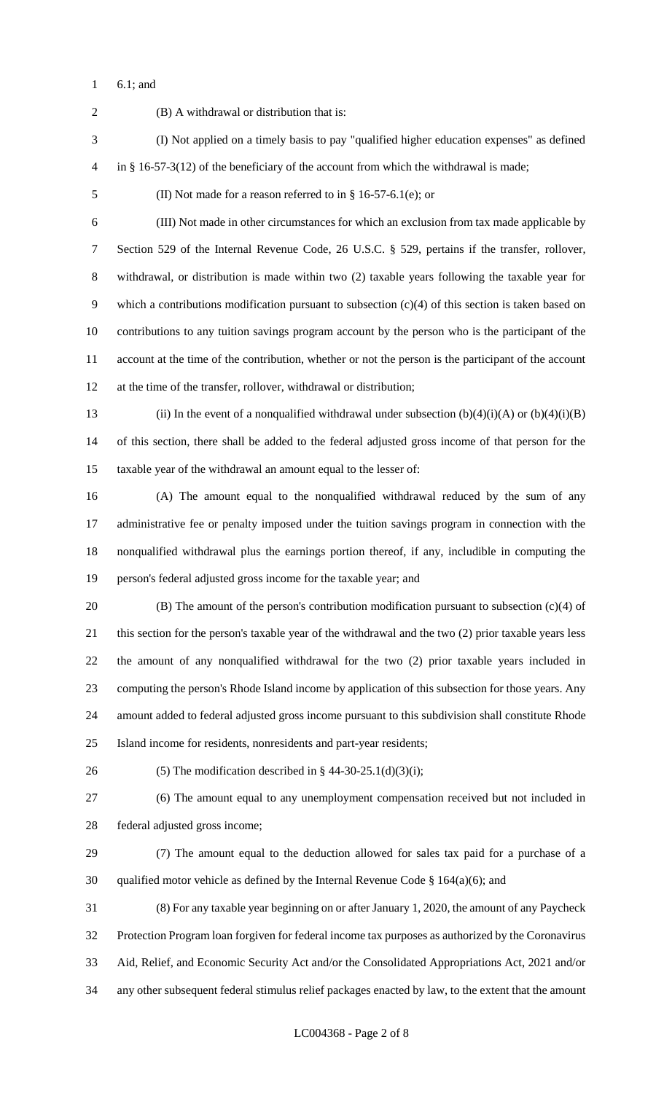6.1; and

 (B) A withdrawal or distribution that is: (I) Not applied on a timely basis to pay "qualified higher education expenses" as defined in § 16-57-3(12) of the beneficiary of the account from which the withdrawal is made; (II) Not made for a reason referred to in § 16-57-6.1(e); or (III) Not made in other circumstances for which an exclusion from tax made applicable by Section 529 of the Internal Revenue Code, 26 U.S.C. § 529, pertains if the transfer, rollover, withdrawal, or distribution is made within two (2) taxable years following the taxable year for which a contributions modification pursuant to subsection (c)(4) of this section is taken based on contributions to any tuition savings program account by the person who is the participant of the account at the time of the contribution, whether or not the person is the participant of the account at the time of the transfer, rollover, withdrawal or distribution; 13 (ii) In the event of a nonqualified withdrawal under subsection  $(b)(4)(i)(A)$  or  $(b)(4)(i)(B)$  of this section, there shall be added to the federal adjusted gross income of that person for the taxable year of the withdrawal an amount equal to the lesser of: (A) The amount equal to the nonqualified withdrawal reduced by the sum of any administrative fee or penalty imposed under the tuition savings program in connection with the nonqualified withdrawal plus the earnings portion thereof, if any, includible in computing the person's federal adjusted gross income for the taxable year; and (B) The amount of the person's contribution modification pursuant to subsection (c)(4) of this section for the person's taxable year of the withdrawal and the two (2) prior taxable years less the amount of any nonqualified withdrawal for the two (2) prior taxable years included in computing the person's Rhode Island income by application of this subsection for those years. Any amount added to federal adjusted gross income pursuant to this subdivision shall constitute Rhode Island income for residents, nonresidents and part-year residents; 26 (5) The modification described in  $\S$  44-30-25.1(d)(3)(i); (6) The amount equal to any unemployment compensation received but not included in federal adjusted gross income; (7) The amount equal to the deduction allowed for sales tax paid for a purchase of a 30 qualified motor vehicle as defined by the Internal Revenue Code  $\S$  164(a)(6); and (8) For any taxable year beginning on or after January 1, 2020, the amount of any Paycheck Protection Program loan forgiven for federal income tax purposes as authorized by the Coronavirus Aid, Relief, and Economic Security Act and/or the Consolidated Appropriations Act, 2021 and/or any other subsequent federal stimulus relief packages enacted by law, to the extent that the amount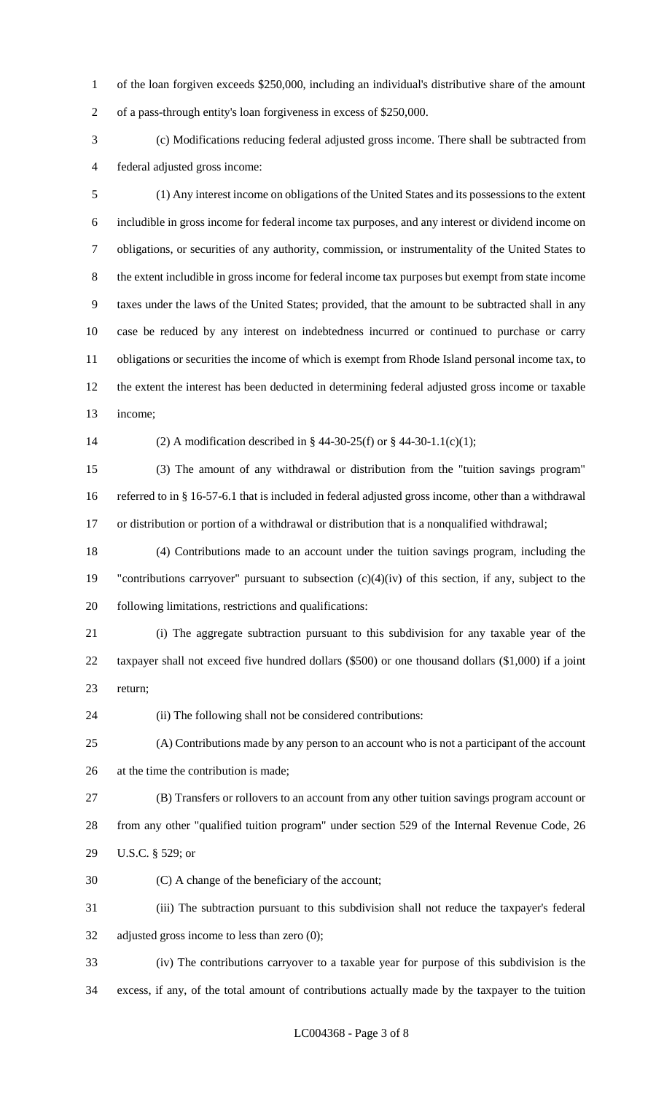of the loan forgiven exceeds \$250,000, including an individual's distributive share of the amount of a pass-through entity's loan forgiveness in excess of \$250,000.

 (c) Modifications reducing federal adjusted gross income. There shall be subtracted from federal adjusted gross income:

 (1) Any interest income on obligations of the United States and its possessions to the extent includible in gross income for federal income tax purposes, and any interest or dividend income on obligations, or securities of any authority, commission, or instrumentality of the United States to the extent includible in gross income for federal income tax purposes but exempt from state income taxes under the laws of the United States; provided, that the amount to be subtracted shall in any case be reduced by any interest on indebtedness incurred or continued to purchase or carry obligations or securities the income of which is exempt from Rhode Island personal income tax, to the extent the interest has been deducted in determining federal adjusted gross income or taxable income;

(2) A modification described in § 44-30-25(f) or § 44-30-1.1(c)(1);

 (3) The amount of any withdrawal or distribution from the "tuition savings program" referred to in § 16-57-6.1 that is included in federal adjusted gross income, other than a withdrawal or distribution or portion of a withdrawal or distribution that is a nonqualified withdrawal;

 (4) Contributions made to an account under the tuition savings program, including the "contributions carryover" pursuant to subsection (c)(4)(iv) of this section, if any, subject to the following limitations, restrictions and qualifications:

 (i) The aggregate subtraction pursuant to this subdivision for any taxable year of the taxpayer shall not exceed five hundred dollars (\$500) or one thousand dollars (\$1,000) if a joint return;

(ii) The following shall not be considered contributions:

 (A) Contributions made by any person to an account who is not a participant of the account at the time the contribution is made;

 (B) Transfers or rollovers to an account from any other tuition savings program account or from any other "qualified tuition program" under section 529 of the Internal Revenue Code, 26 U.S.C. § 529; or

(C) A change of the beneficiary of the account;

 (iii) The subtraction pursuant to this subdivision shall not reduce the taxpayer's federal adjusted gross income to less than zero (0);

 (iv) The contributions carryover to a taxable year for purpose of this subdivision is the excess, if any, of the total amount of contributions actually made by the taxpayer to the tuition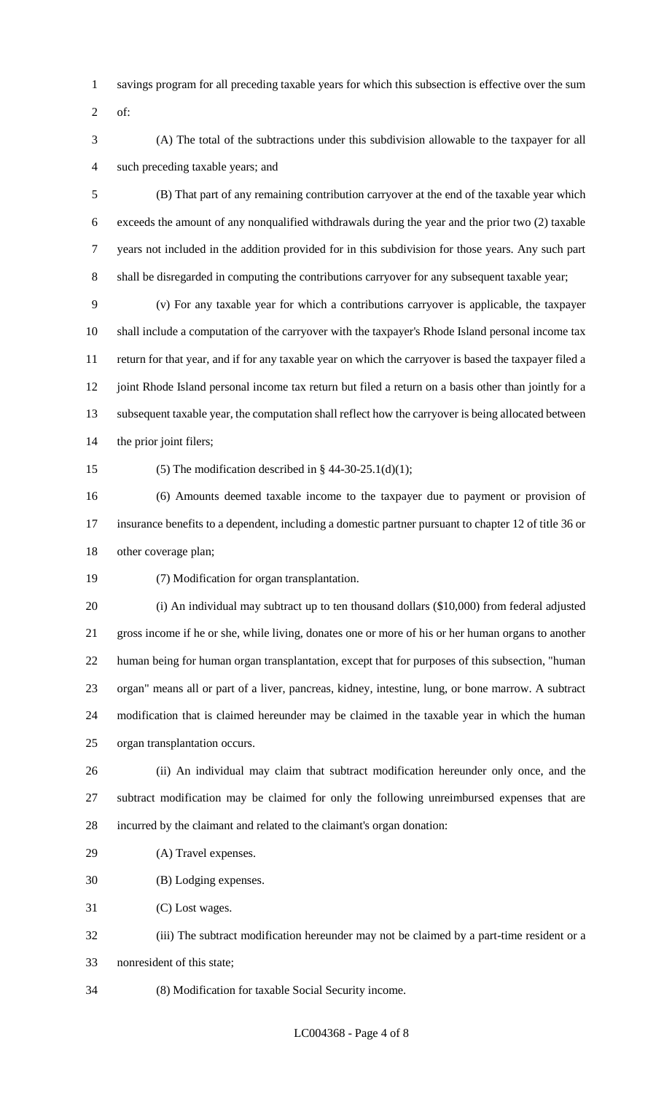- savings program for all preceding taxable years for which this subsection is effective over the sum
- of:
- (A) The total of the subtractions under this subdivision allowable to the taxpayer for all such preceding taxable years; and

 (B) That part of any remaining contribution carryover at the end of the taxable year which exceeds the amount of any nonqualified withdrawals during the year and the prior two (2) taxable years not included in the addition provided for in this subdivision for those years. Any such part shall be disregarded in computing the contributions carryover for any subsequent taxable year;

 (v) For any taxable year for which a contributions carryover is applicable, the taxpayer shall include a computation of the carryover with the taxpayer's Rhode Island personal income tax return for that year, and if for any taxable year on which the carryover is based the taxpayer filed a 12 joint Rhode Island personal income tax return but filed a return on a basis other than jointly for a subsequent taxable year, the computation shall reflect how the carryover is being allocated between the prior joint filers;

15 (5) The modification described in  $\S$  44-30-25.1(d)(1);

 (6) Amounts deemed taxable income to the taxpayer due to payment or provision of insurance benefits to a dependent, including a domestic partner pursuant to chapter 12 of title 36 or other coverage plan;

(7) Modification for organ transplantation.

 (i) An individual may subtract up to ten thousand dollars (\$10,000) from federal adjusted gross income if he or she, while living, donates one or more of his or her human organs to another human being for human organ transplantation, except that for purposes of this subsection, "human organ" means all or part of a liver, pancreas, kidney, intestine, lung, or bone marrow. A subtract modification that is claimed hereunder may be claimed in the taxable year in which the human organ transplantation occurs.

 (ii) An individual may claim that subtract modification hereunder only once, and the subtract modification may be claimed for only the following unreimbursed expenses that are incurred by the claimant and related to the claimant's organ donation:

- (A) Travel expenses.
- (B) Lodging expenses.

(C) Lost wages.

- (iii) The subtract modification hereunder may not be claimed by a part-time resident or a nonresident of this state;
- (8) Modification for taxable Social Security income.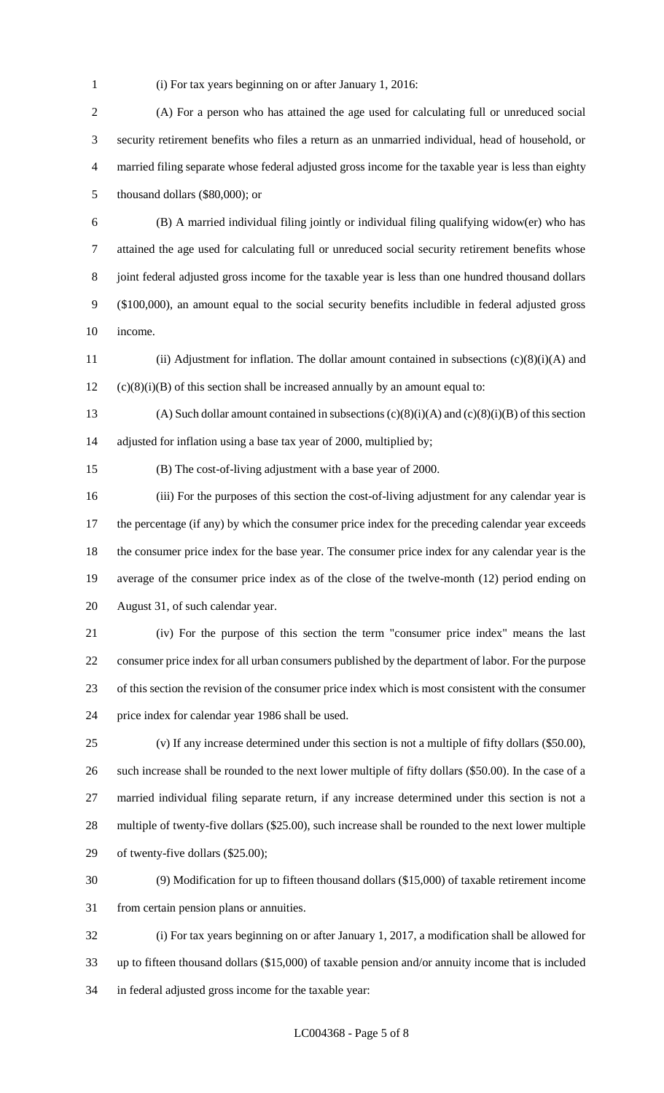(i) For tax years beginning on or after January 1, 2016:

 (A) For a person who has attained the age used for calculating full or unreduced social security retirement benefits who files a return as an unmarried individual, head of household, or married filing separate whose federal adjusted gross income for the taxable year is less than eighty thousand dollars (\$80,000); or

 (B) A married individual filing jointly or individual filing qualifying widow(er) who has attained the age used for calculating full or unreduced social security retirement benefits whose joint federal adjusted gross income for the taxable year is less than one hundred thousand dollars (\$100,000), an amount equal to the social security benefits includible in federal adjusted gross income.

 (ii) Adjustment for inflation. The dollar amount contained in subsections (c)(8)(i)(A) and (c)(8)(i)(B) of this section shall be increased annually by an amount equal to:

13 (A) Such dollar amount contained in subsections  $(c)(8)(i)(A)$  and  $(c)(8)(i)(B)$  of this section adjusted for inflation using a base tax year of 2000, multiplied by;

(B) The cost-of-living adjustment with a base year of 2000.

 (iii) For the purposes of this section the cost-of-living adjustment for any calendar year is 17 the percentage (if any) by which the consumer price index for the preceding calendar year exceeds the consumer price index for the base year. The consumer price index for any calendar year is the average of the consumer price index as of the close of the twelve-month (12) period ending on August 31, of such calendar year.

 (iv) For the purpose of this section the term "consumer price index" means the last consumer price index for all urban consumers published by the department of labor. For the purpose of this section the revision of the consumer price index which is most consistent with the consumer price index for calendar year 1986 shall be used.

 (v) If any increase determined under this section is not a multiple of fifty dollars (\$50.00), such increase shall be rounded to the next lower multiple of fifty dollars (\$50.00). In the case of a married individual filing separate return, if any increase determined under this section is not a multiple of twenty-five dollars (\$25.00), such increase shall be rounded to the next lower multiple of twenty-five dollars (\$25.00);

 (9) Modification for up to fifteen thousand dollars (\$15,000) of taxable retirement income from certain pension plans or annuities.

 (i) For tax years beginning on or after January 1, 2017, a modification shall be allowed for up to fifteen thousand dollars (\$15,000) of taxable pension and/or annuity income that is included in federal adjusted gross income for the taxable year: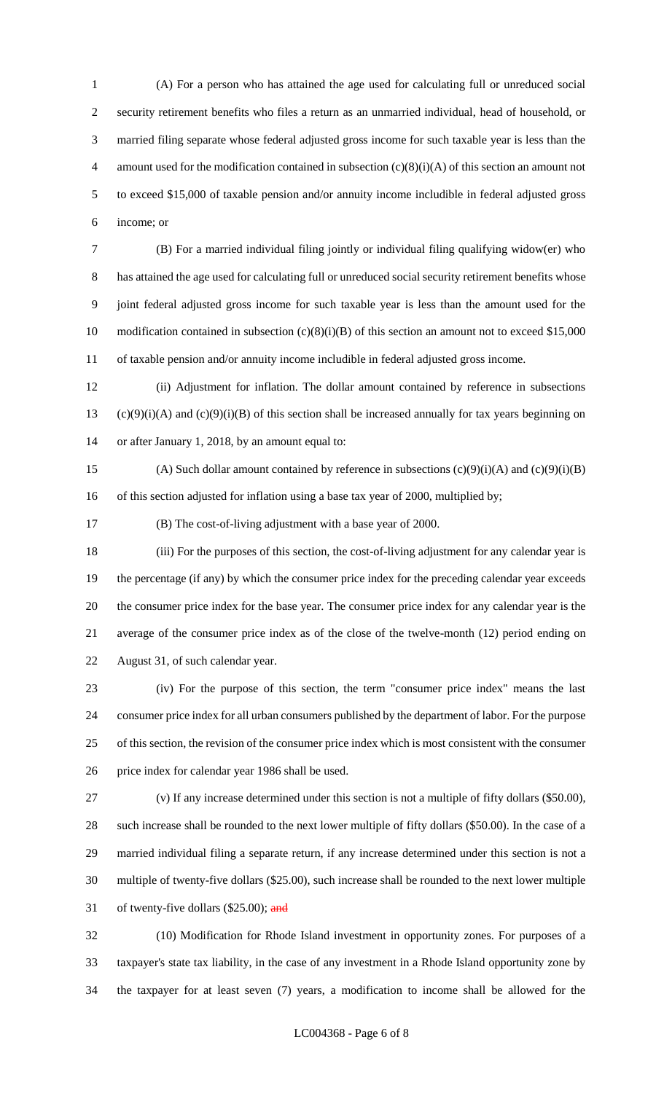(A) For a person who has attained the age used for calculating full or unreduced social security retirement benefits who files a return as an unmarried individual, head of household, or married filing separate whose federal adjusted gross income for such taxable year is less than the 4 amount used for the modification contained in subsection  $(c)(8)(i)(A)$  of this section an amount not to exceed \$15,000 of taxable pension and/or annuity income includible in federal adjusted gross income; or

 (B) For a married individual filing jointly or individual filing qualifying widow(er) who has attained the age used for calculating full or unreduced social security retirement benefits whose joint federal adjusted gross income for such taxable year is less than the amount used for the 10 modification contained in subsection (c)(8)(i)(B) of this section an amount not to exceed \$15,000 of taxable pension and/or annuity income includible in federal adjusted gross income.

 (ii) Adjustment for inflation. The dollar amount contained by reference in subsections 13 (c)(9)(i)(A) and (c)(9)(i)(B) of this section shall be increased annually for tax years beginning on or after January 1, 2018, by an amount equal to:

15 (A) Such dollar amount contained by reference in subsections  $(c)(9)(i)(A)$  and  $(c)(9)(i)(B)$ 16 of this section adjusted for inflation using a base tax year of 2000, multiplied by;

(B) The cost-of-living adjustment with a base year of 2000.

 (iii) For the purposes of this section, the cost-of-living adjustment for any calendar year is the percentage (if any) by which the consumer price index for the preceding calendar year exceeds the consumer price index for the base year. The consumer price index for any calendar year is the average of the consumer price index as of the close of the twelve-month (12) period ending on August 31, of such calendar year.

 (iv) For the purpose of this section, the term "consumer price index" means the last consumer price index for all urban consumers published by the department of labor. For the purpose of this section, the revision of the consumer price index which is most consistent with the consumer price index for calendar year 1986 shall be used.

 (v) If any increase determined under this section is not a multiple of fifty dollars (\$50.00), such increase shall be rounded to the next lower multiple of fifty dollars (\$50.00). In the case of a married individual filing a separate return, if any increase determined under this section is not a multiple of twenty-five dollars (\$25.00), such increase shall be rounded to the next lower multiple 31 of twenty-five dollars  $(\$25.00)$ ; and

 (10) Modification for Rhode Island investment in opportunity zones. For purposes of a taxpayer's state tax liability, in the case of any investment in a Rhode Island opportunity zone by the taxpayer for at least seven (7) years, a modification to income shall be allowed for the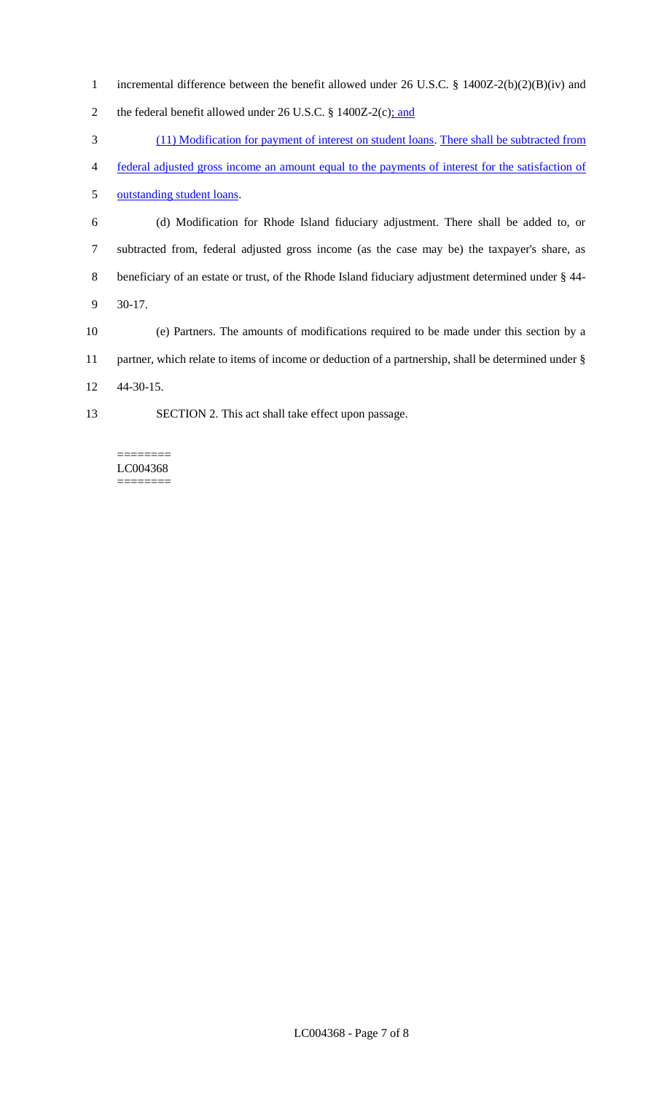- incremental difference between the benefit allowed under 26 U.S.C. § 1400Z-2(b)(2)(B)(iv) and
- 2 the federal benefit allowed under 26 U.S.C. § 1400Z-2(c); and
- (11) Modification for payment of interest on student loans. There shall be subtracted from
- federal adjusted gross income an amount equal to the payments of interest for the satisfaction of

outstanding student loans.

- (d) Modification for Rhode Island fiduciary adjustment. There shall be added to, or subtracted from, federal adjusted gross income (as the case may be) the taxpayer's share, as beneficiary of an estate or trust, of the Rhode Island fiduciary adjustment determined under § 44- 30-17.
- (e) Partners. The amounts of modifications required to be made under this section by a partner, which relate to items of income or deduction of a partnership, shall be determined under § 44-30-15.
- SECTION 2. This act shall take effect upon passage.

LC004368 ========

 $=$